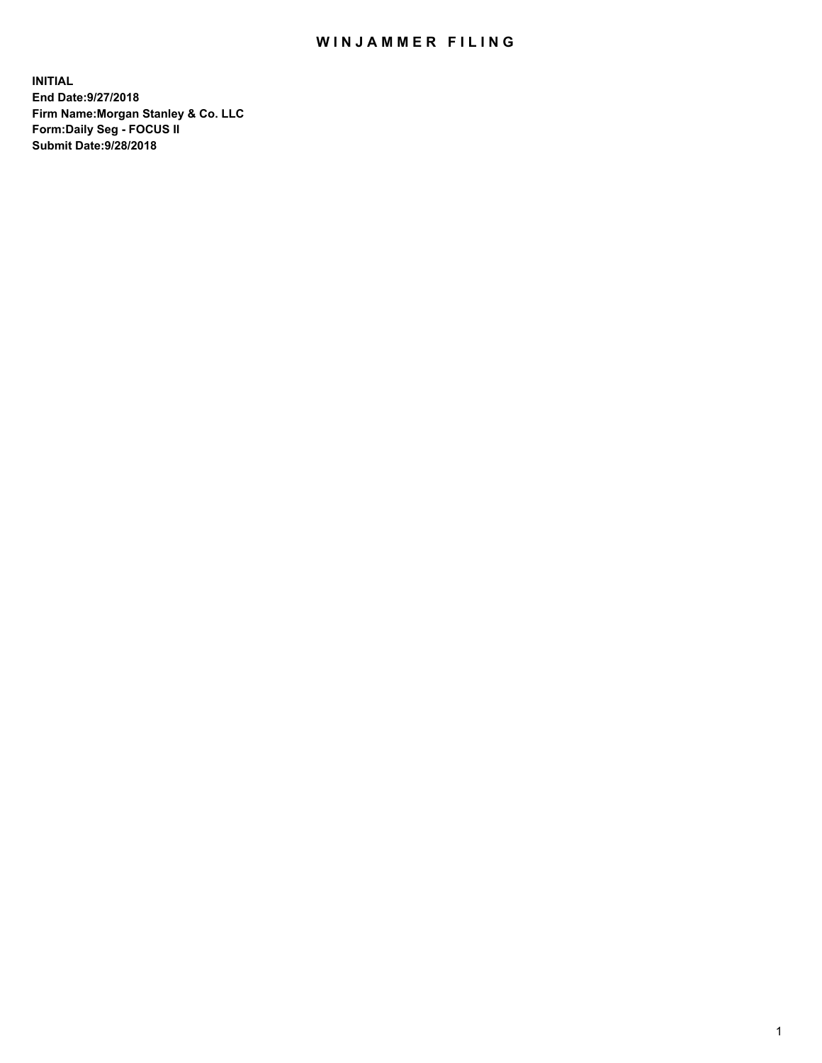## WIN JAMMER FILING

**INITIAL End Date:9/27/2018 Firm Name:Morgan Stanley & Co. LLC Form:Daily Seg - FOCUS II Submit Date:9/28/2018**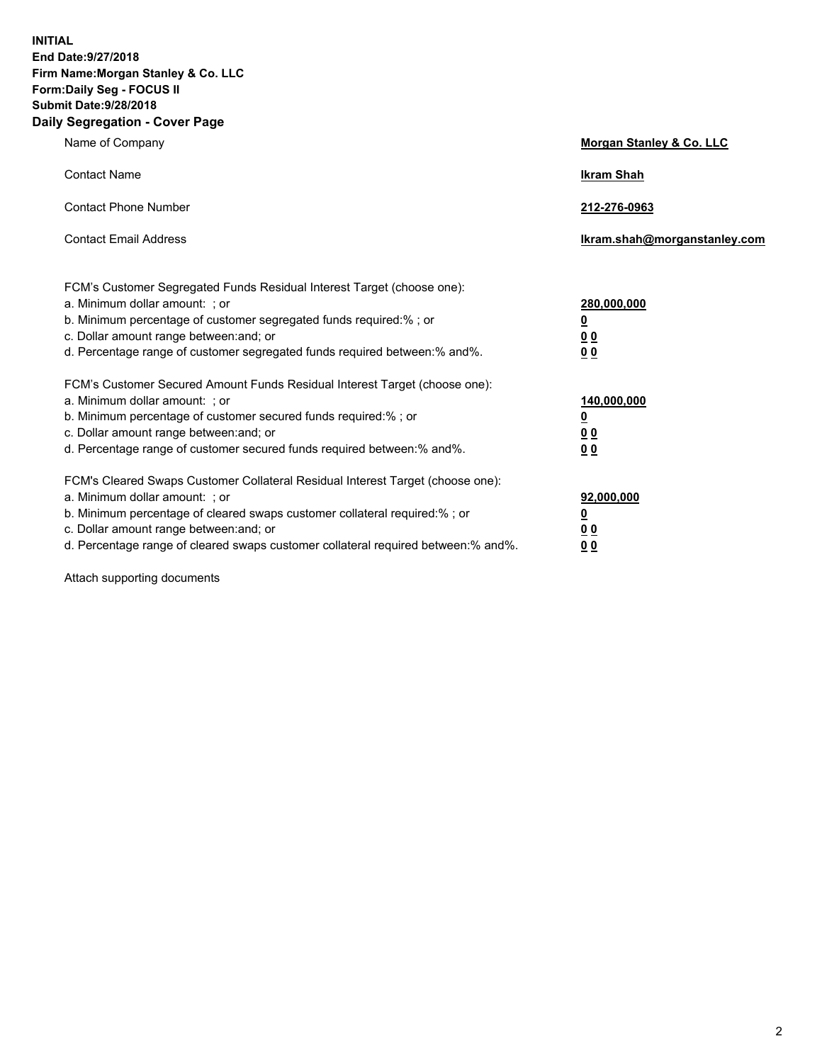**INITIAL End Date:9/27/2018 Firm Name:Morgan Stanley & Co. LLC Form:Daily Seg - FOCUS II Submit Date:9/28/2018 Daily Segregation - Cover Page**

| Name of Company                                                                                                                                                                                                                                                                                                                | Morgan Stanley & Co. LLC                               |
|--------------------------------------------------------------------------------------------------------------------------------------------------------------------------------------------------------------------------------------------------------------------------------------------------------------------------------|--------------------------------------------------------|
| <b>Contact Name</b>                                                                                                                                                                                                                                                                                                            | <b>Ikram Shah</b>                                      |
| <b>Contact Phone Number</b>                                                                                                                                                                                                                                                                                                    | 212-276-0963                                           |
| <b>Contact Email Address</b>                                                                                                                                                                                                                                                                                                   | lkram.shah@morganstanley.com                           |
| FCM's Customer Segregated Funds Residual Interest Target (choose one):<br>a. Minimum dollar amount: ; or<br>b. Minimum percentage of customer segregated funds required:% ; or<br>c. Dollar amount range between: and; or<br>d. Percentage range of customer segregated funds required between:% and%.                         | 280,000,000<br><u>0</u><br><u>0 0</u><br>0 Q           |
| FCM's Customer Secured Amount Funds Residual Interest Target (choose one):<br>a. Minimum dollar amount: ; or<br>b. Minimum percentage of customer secured funds required:%; or<br>c. Dollar amount range between: and; or<br>d. Percentage range of customer secured funds required between:% and%.                            | 140,000,000<br><u>0</u><br><u>00</u><br>0 <sub>0</sub> |
| FCM's Cleared Swaps Customer Collateral Residual Interest Target (choose one):<br>a. Minimum dollar amount: ; or<br>b. Minimum percentage of cleared swaps customer collateral required:% ; or<br>c. Dollar amount range between: and; or<br>d. Percentage range of cleared swaps customer collateral required between:% and%. | 92,000,000<br><u>0</u><br><u>00</u><br>0 <sup>0</sup>  |

Attach supporting documents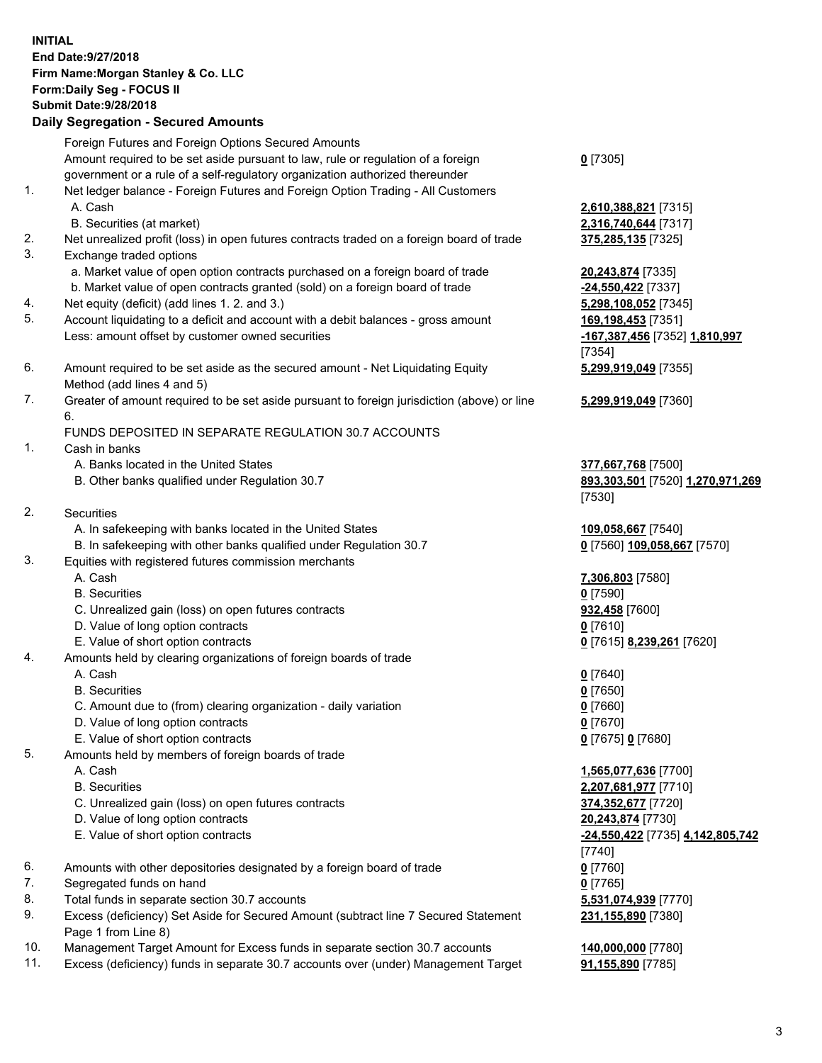## **INITIAL End Date:9/27/2018 Firm Name:Morgan Stanley & Co. LLC Form:Daily Seg - FOCUS II Submit Date:9/28/2018 Daily Segregation - Secured Amounts** Foreign Futures and Foreign Options Secured Amounts

Amount required to be set aside pursuant to law, rule or regulation of a foreign government or a rule of a self-regulatory organization authorized thereunder 1. Net ledger balance - Foreign Futures and Foreign Option Trading - All Customers A. Cash **2,610,388,821** [7315] B. Securities (at market) **2,316,740,644** [7317] 2. Net unrealized profit (loss) in open futures contracts traded on a foreign board of trade **375,285,135** [7325] 3. Exchange traded options a. Market value of open option contracts purchased on a foreign board of trade **20,243,874** [7335] b. Market value of open contracts granted (sold) on a foreign board of trade **-24,550,422** [7337] 4. Net equity (deficit) (add lines 1. 2. and 3.) **5,298,108,052** [7345] 5. Account liquidating to a deficit and account with a debit balances - gross amount **169,198,453** [7351] Less: amount offset by customer owned securities **-167,387,456** [7352] **1,810,997** 6. Amount required to be set aside as the secured amount - Net Liquidating Equity Method (add lines 4 and 5) 7. Greater of amount required to be set aside pursuant to foreign jurisdiction (above) or line 6. FUNDS DEPOSITED IN SEPARATE REGULATION 30.7 ACCOUNTS 1. Cash in banks A. Banks located in the United States **377,667,768** [7500] B. Other banks qualified under Regulation 30.7 **893,303,501** [7520] **1,270,971,269** 2. Securities A. In safekeeping with banks located in the United States **109,058,667** [7540] B. In safekeeping with other banks qualified under Regulation 30.7 **0** [7560] **109,058,667** [7570] 3. Equities with registered futures commission merchants A. Cash **7,306,803** [7580] B. Securities **0** [7590] C. Unrealized gain (loss) on open futures contracts **932,458** [7600] D. Value of long option contracts **0** [7610] E. Value of short option contracts **0** [7615] **8,239,261** [7620] 4. Amounts held by clearing organizations of foreign boards of trade A. Cash **0** [7640] B. Securities **0** [7650] C. Amount due to (from) clearing organization - daily variation **0** [7660] D. Value of long option contracts **0** [7670] E. Value of short option contracts **0** [7675] **0** [7680] 5. Amounts held by members of foreign boards of trade A. Cash **1,565,077,636** [7700] B. Securities **2,207,681,977** [7710]

- C. Unrealized gain (loss) on open futures contracts **374,352,677** [7720]
- D. Value of long option contracts **20,243,874** [7730]
- E. Value of short option contracts **-24,550,422** [7735] **4,142,805,742**
- 6. Amounts with other depositories designated by a foreign board of trade **0** [7760]
- 7. Segregated funds on hand **0** [7765]
- 8. Total funds in separate section 30.7 accounts **5,531,074,939** [7770]
- 9. Excess (deficiency) Set Aside for Secured Amount (subtract line 7 Secured Statement Page 1 from Line 8)
- 10. Management Target Amount for Excess funds in separate section 30.7 accounts **140,000,000** [7780]
- 11. Excess (deficiency) funds in separate 30.7 accounts over (under) Management Target **91,155,890** [7785]

**0** [7305]

[7354] **5,299,919,049** [7355]

**5,299,919,049** [7360]

[7530]

[7740] **231,155,890** [7380]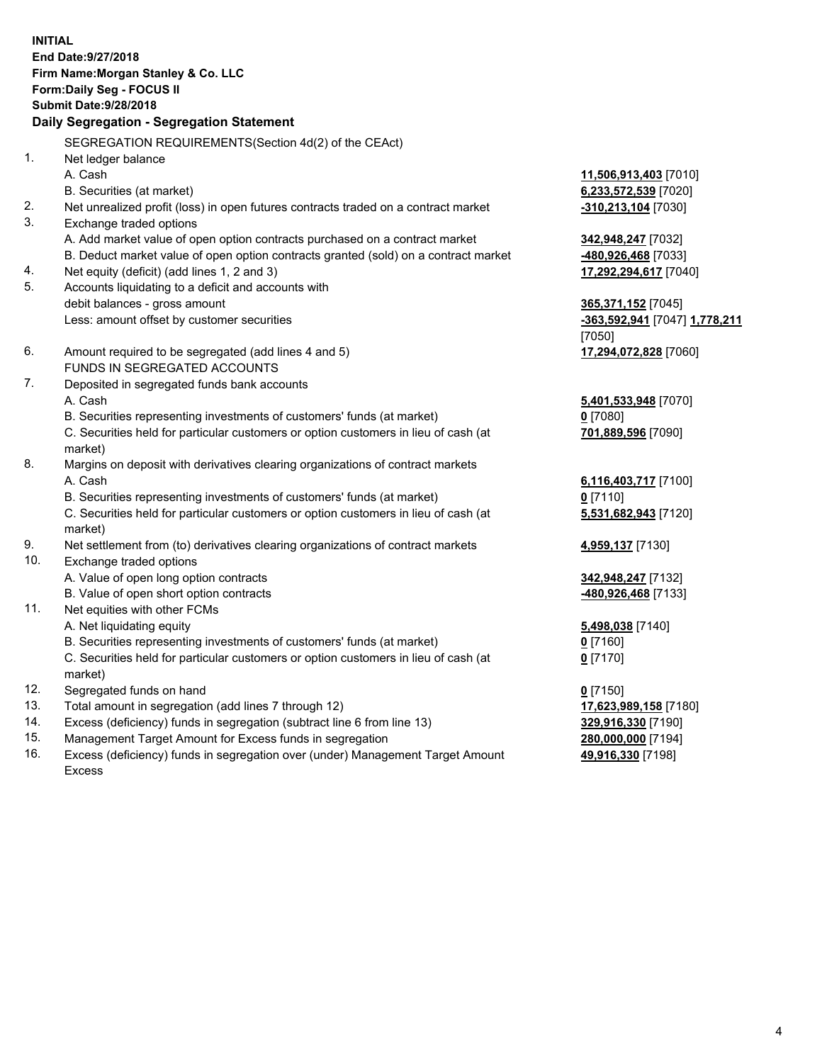**INITIAL End Date:9/27/2018 Firm Name:Morgan Stanley & Co. LLC Form:Daily Seg - FOCUS II Submit Date:9/28/2018 Daily Segregation - Segregation Statement** SEGREGATION REQUIREMENTS(Section 4d(2) of the CEAct) 1. Net ledger balance A. Cash **11,506,913,403** [7010] B. Securities (at market) **6,233,572,539** [7020] 2. Net unrealized profit (loss) in open futures contracts traded on a contract market **-310,213,104** [7030] 3. Exchange traded options A. Add market value of open option contracts purchased on a contract market **342,948,247** [7032] B. Deduct market value of open option contracts granted (sold) on a contract market **-480,926,468** [7033] 4. Net equity (deficit) (add lines 1, 2 and 3) **17,292,294,617** [7040] 5. Accounts liquidating to a deficit and accounts with debit balances - gross amount **365,371,152** [7045] Less: amount offset by customer securities **-363,592,941** [7047] **1,778,211** [7050] 6. Amount required to be segregated (add lines 4 and 5) **17,294,072,828** [7060] FUNDS IN SEGREGATED ACCOUNTS 7. Deposited in segregated funds bank accounts A. Cash **5,401,533,948** [7070] B. Securities representing investments of customers' funds (at market) **0** [7080] C. Securities held for particular customers or option customers in lieu of cash (at market) **701,889,596** [7090] 8. Margins on deposit with derivatives clearing organizations of contract markets A. Cash **6,116,403,717** [7100] B. Securities representing investments of customers' funds (at market) **0** [7110] C. Securities held for particular customers or option customers in lieu of cash (at market) **5,531,682,943** [7120] 9. Net settlement from (to) derivatives clearing organizations of contract markets **4,959,137** [7130] 10. Exchange traded options A. Value of open long option contracts **342,948,247** [7132] B. Value of open short option contracts **-480,926,468** [7133] 11. Net equities with other FCMs A. Net liquidating equity **5,498,038** [7140] B. Securities representing investments of customers' funds (at market) **0** [7160] C. Securities held for particular customers or option customers in lieu of cash (at market) **0** [7170] 12. Segregated funds on hand **0** [7150] 13. Total amount in segregation (add lines 7 through 12) **17,623,989,158** [7180] 14. Excess (deficiency) funds in segregation (subtract line 6 from line 13) **329,916,330** [7190]

- 15. Management Target Amount for Excess funds in segregation **280,000,000** [7194]
- 16. Excess (deficiency) funds in segregation over (under) Management Target Amount Excess

**49,916,330** [7198]